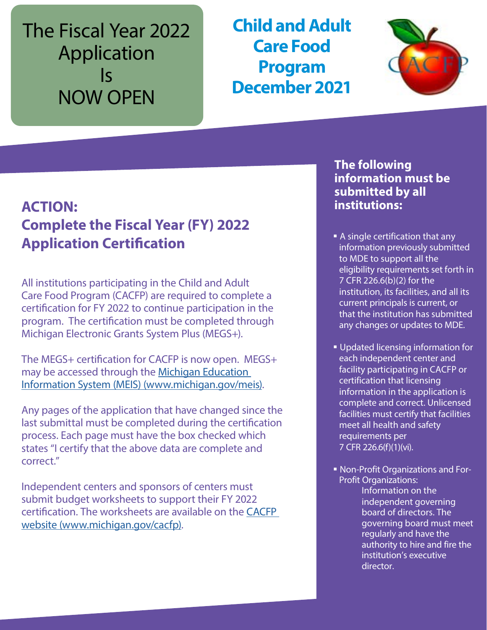# The Fiscal Year 2022 Application Is NOW OPEN

**Child and Adult Care Food Program December 2021**



## **ACTION: Complete the Fiscal Year (FY) 2022 Application Certification**

All institutions participating in the Child and Adult Care Food Program (CACFP) are required to complete a certification for FY 2022 to continue participation in the program. The certification must be completed through Michigan Electronic Grants System Plus (MEGS+).

The MEGS+ certification for CACFP is now open. MEGS+ may be accessed through the [Michigan Education](https://gcc02.safelinks.protection.outlook.com/?url=http%3A%2F%2Fwww.michigan.gov%2Fmeis&data=04%7C01%7CGalbaviT%40michigan.gov%7C43c81ce7e7f941cb5a7d08d9958bf373%7Cd5fb7087377742ad966a892ef47225d1%7C0%7C0%7C637705250581888663%7CUnknown%7CTWFpbGZsb3d8eyJWIjoiMC4wLjAwMDAiLCJQIjoiV2luMzIiLCJBTiI6Ik1haWwiLCJXVCI6Mn0%3D%7C1000&sdata=J76deRkwXhtAxsZz3gFxieLoG3idZmsfJ5C%2Bs%2Bb3pYk%3D&reserved=0)  [Information System \(MEIS\) \(www.michigan.gov/meis\).](https://gcc02.safelinks.protection.outlook.com/?url=http%3A%2F%2Fwww.michigan.gov%2Fmeis&data=04%7C01%7CGalbaviT%40michigan.gov%7C43c81ce7e7f941cb5a7d08d9958bf373%7Cd5fb7087377742ad966a892ef47225d1%7C0%7C0%7C637705250581888663%7CUnknown%7CTWFpbGZsb3d8eyJWIjoiMC4wLjAwMDAiLCJQIjoiV2luMzIiLCJBTiI6Ik1haWwiLCJXVCI6Mn0%3D%7C1000&sdata=J76deRkwXhtAxsZz3gFxieLoG3idZmsfJ5C%2Bs%2Bb3pYk%3D&reserved=0)

Any pages of the application that have changed since the last submittal must be completed during the certification process. Each page must have the box checked which states "I certify that the above data are complete and correct."

Independent centers and sponsors of centers must submit budget worksheets to support their FY 2022 certification. The worksheets are available on the [CACFP](http://www.michigan.gov/cacfp)  [website \(www.michigan.gov/cacfp\).](http://www.michigan.gov/cacfp)

## **The following information must be submitted by all institutions:**

- A single certification that any information previously submitted to MDE to support all the eligibility requirements set forth in 7 CFR 226.6(b)(2) for the institution, its facilities, and all its current principals is current, or that the institution has submitted any changes or updates to MDE.
- Updated licensing information for each independent center and facility participating in CACFP or certification that licensing information in the application is complete and correct. Unlicensed facilities must certify that facilities meet all health and safety requirements per 7 CFR 226.6(f)(1)(vi).
- Non-Profit Organizations and For-Profit Organizations:

Information on the independent governing board of directors. The governing board must meet regularly and have the authority to hire and fire the institution's executive director.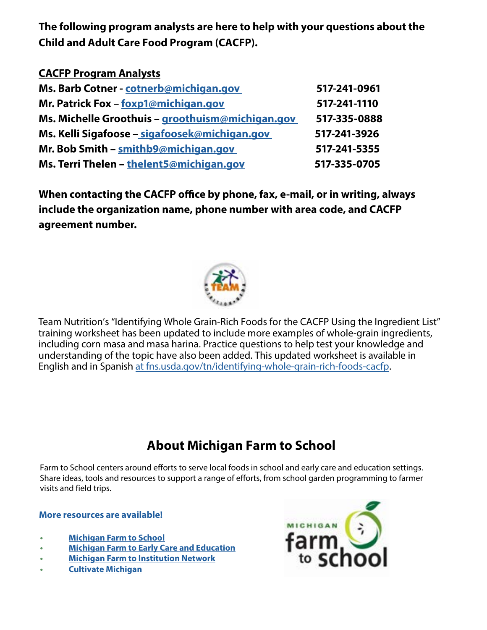**The following program analysts are here to help with your questions about the Child and Adult Care Food Program (CACFP).**

| <b>CACFP Program Analysts</b>                    |              |
|--------------------------------------------------|--------------|
| Ms. Barb Cotner - cotnerb@michigan.gov           | 517-241-0961 |
| Mr. Patrick Fox - foxp1@michigan.gov             | 517-241-1110 |
| Ms. Michelle Groothuis - groothuism@michigan.gov | 517-335-0888 |
| Ms. Kelli Sigafoose – sigafoosek@michigan.gov    | 517-241-3926 |
| Mr. Bob Smith - smithb9@michigan.gov             | 517-241-5355 |
| Ms. Terri Thelen - thelent5@michigan.gov         | 517-335-0705 |

**When contacting the CACFP office by phone, fax, e-mail, or in writing, always include the organization name, phone number with area code, and CACFP agreement number.**



Team Nutrition's "Identifying Whole Grain-Rich Foods for the CACFP Using the Ingredient List" training worksheet has been updated to include more examples of whole-grain ingredients, including corn masa and masa harina. Practice questions to help test your knowledge and understanding of the topic have also been added. This updated worksheet is available in English and in Spanish [at fns.usda.gov/tn/identifying-whole-grain-rich-foods-cacfp](https://gcc02.safelinks.protection.outlook.com/?url=https%3A%2F%2Fwww.fns.usda.gov%2Ftn%2Fidentifying-whole-grain-rich-foods-cacfp&data=04%7C01%7CGalbaviT%40michigan.gov%7C72e9028478af41b4bd4d08d9a08738d8%7Cd5fb7087377742ad966a892ef47225d1%7C0%7C0%7C637717324897438373%7CUnknown%7CTWFpbGZsb3d8eyJWIjoiMC4wLjAwMDAiLCJQIjoiV2luMzIiLCJBTiI6Ik1haWwiLCJXVCI6Mn0%3D%7C1000&sdata=L7cCvvMm%2B9PC7UxKnNMJrZfnVzfDjWxLrkzx75akzBM%3D&reserved=0).

## **About Michigan Farm to School**

Farm to School centers around efforts to serve local foods in school and early care and education settings. Share ideas, tools and resources to support a range of efforts, from school garden programming to farmer visits and field trips.

#### **More resources are available!**

- **• [Michigan Farm to School](https://gcc02.safelinks.protection.outlook.com/?url=https%3A%2F%2Fr20.rs6.net%2Ftn.jsp%3Ff%3D001JFof7dDr9naYMzu_ozGd5I7Upzen6EcyYPzzwcypnfWw1YuoJtWCLTXYOusuuVbwaGHxyxROTU14HsyIDT4wAFsA3_P_XESxhEsflziZb7gt4NoYmWhiMVSmrCn1mDX4P51wNmjDfMutKwjc2RAv71UvpaQCnp8d%26c%3DdPOqkHcqZas0PhFT93m8DB3Ln_Fv3TrEv1-9oGNbN-7qn4l-lfjNPw%3D%3D%26ch%3Dqytgq_mq9rXPctUIb6riZa6DcyARrymA__V1ckiWQugFksp8ndJshA%3D%3D&data=04%7C01%7CGalbaviT%40michigan.gov%7Ca5d553ac6c7848acd65208d99a355ce0%7Cd5fb7087377742ad966a892ef47225d1%7C0%7C0%7C637710376247469729%7CUnknown%7CTWFpbGZsb3d8eyJWIjoiMC4wLjAwMDAiLCJQIjoiV2luMzIiLCJBTiI6Ik1haWwiLCJXVCI6Mn0%3D%7C1000&sdata=on3sL60piSA2oLMDiKCgCKPl0KGcsIiorqnWRmki55Q%3D&reserved=0)**
- **• [Michigan Farm to Early Care and Education](www.canr.msu.edu/michigan-farm-to-ece/)**
- **• [Michigan Farm to Institution Network](https://gcc02.safelinks.protection.outlook.com/?url=https%3A%2F%2Fr20.rs6.net%2Ftn.jsp%3Ff%3D001JFof7dDr9naYMzu_ozGd5I7Upzen6EcyYPzzwcypnfWw1YuoJtWCLSx-bTpZZyUcAzq0Dz3o2Wx_zFJRPnRAov4kn3yF57Ru0uXexynu4UlinhWc21oKuplTa2rYVGM6SrAWTQkh3Qc90vhs-Bx3lbiTe72VC_uB%26c%3DdPOqkHcqZas0PhFT93m8DB3Ln_Fv3TrEv1-9oGNbN-7qn4l-lfjNPw%3D%3D%26ch%3Dqytgq_mq9rXPctUIb6riZa6DcyARrymA__V1ckiWQugFksp8ndJshA%3D%3D&data=04%7C01%7CGalbaviT%40michigan.gov%7Ca5d553ac6c7848acd65208d99a355ce0%7Cd5fb7087377742ad966a892ef47225d1%7C0%7C0%7C637710376247489638%7CUnknown%7CTWFpbGZsb3d8eyJWIjoiMC4wLjAwMDAiLCJQIjoiV2luMzIiLCJBTiI6Ik1haWwiLCJXVCI6Mn0%3D%7C1000&sdata=UpZNMbfx9H7XfTmVdxerAl1l%2BBDmmm3PvD%2BzKdC9coo%3D&reserved=0)**
- **• [Cultivate Michigan](https://gcc02.safelinks.protection.outlook.com/?url=https%3A%2F%2Fr20.rs6.net%2Ftn.jsp%3Ff%3D001JFof7dDr9naYMzu_ozGd5I7Upzen6EcyYPzzwcypnfWw1YuoJtWCLYjgXDaKQyWP72QIkQQ0RECM12pO0vxcaF6THMRAjjBXAT44-pLxj93IZ6EWGu35hdrn2CZDGklJ10tmVk2841p1f-ofkWnYx1KY7U0-Y09G%26c%3DdPOqkHcqZas0PhFT93m8DB3Ln_Fv3TrEv1-9oGNbN-7qn4l-lfjNPw%3D%3D%26ch%3Dqytgq_mq9rXPctUIb6riZa6DcyARrymA__V1ckiWQugFksp8ndJshA%3D%3D&data=04%7C01%7CGalbaviT%40michigan.gov%7Ca5d553ac6c7848acd65208d99a355ce0%7Cd5fb7087377742ad966a892ef47225d1%7C0%7C0%7C637710376247489638%7CUnknown%7CTWFpbGZsb3d8eyJWIjoiMC4wLjAwMDAiLCJQIjoiV2luMzIiLCJBTiI6Ik1haWwiLCJXVCI6Mn0%3D%7C1000&sdata=aOTHD%2FqxWWodvQkIChFkec%2F8%2BouaHVeNYZWONq3Q918%3D&reserved=0)**

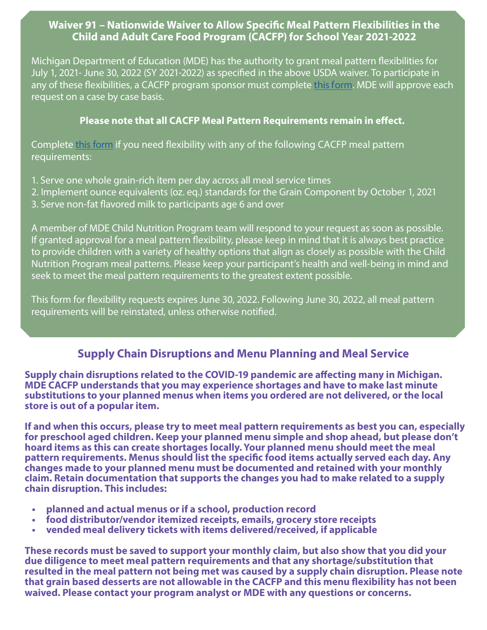#### **Waiver 91 – Nationwide Waiver to Allow Specific Meal Pattern Flexibilities in the Child and Adult Care Food Program (CACFP) for School Year 2021-2022**

Michigan Department of Education (MDE) has the authority to grant meal pattern flexibilities for July 1, 2021- June 30, 2022 (SY 2021-2022) as specified in the above USDA waiver. To participate in any of these flexibilities, a CACFP program sponsor must complete this form. MDE will approve each request on a case by case basis.

#### **Please note that all CACFP Meal Pattern Requirements remain in effect.**

Complete [this form](https://forms.office.com/Pages/ResponsePage.aspx?id=h3D71Xc3rUKWaoku9HIl0adBQgBF3EpMrfJJyRNd7ZFURUdTSUo1Q0dFNUw1M1VNTFVLWUZKSjc5SC4u) if you need flexibility with any of the following CACFP meal pattern requirements:

- 1. Serve one whole grain-rich item per day across all meal service times
- 2. Implement ounce equivalents (oz. eq.) standards for the Grain Component by October 1, 2021
- 3. Serve non-fat flavored milk to participants age 6 and over

A member of MDE Child Nutrition Program team will respond to your request as soon as possible. If granted approval for a meal pattern flexibility, please keep in mind that it is always best practice to provide children with a variety of healthy options that align as closely as possible with the Child Nutrition Program meal patterns. Please keep your participant's health and well-being in mind and seek to meet the meal pattern requirements to the greatest extent possible.

This form for flexibility requests expires June 30, 2022. Following June 30, 2022, all meal pattern requirements will be reinstated, unless otherwise notified.

### **Supply Chain Disruptions and Menu Planning and Meal Service**

**Supply chain disruptions related to the COVID-19 pandemic are affecting many in Michigan. MDE CACFP understands that you may experience shortages and have to make last minute substitutions to your planned menus when items you ordered are not delivered, or the local store is out of a popular item.**

**If and when this occurs, please try to meet meal pattern requirements as best you can, especially for preschool aged children. Keep your planned menu simple and shop ahead, but please don't hoard items as this can create shortages locally. Your planned menu should meet the meal pattern requirements. Menus should list the specific food items actually served each day. Any changes made to your planned menu must be documented and retained with your monthly claim. Retain documentation that supports the changes you had to make related to a supply chain disruption. This includes:**

- **• planned and actual menus or if a school, production record**
- **• food distributor/vendor itemized receipts, emails, grocery store receipts**
- **• vended meal delivery tickets with items delivered/received, if applicable**

**These records must be saved to support your monthly claim, but also show that you did your due diligence to meet meal pattern requirements and that any shortage/substitution that resulted in the meal pattern not being met was caused by a supply chain disruption. Please note that grain based desserts are not allowable in the CACFP and this menu flexibility has not been waived. Please contact your program analyst or MDE with any questions or concerns.**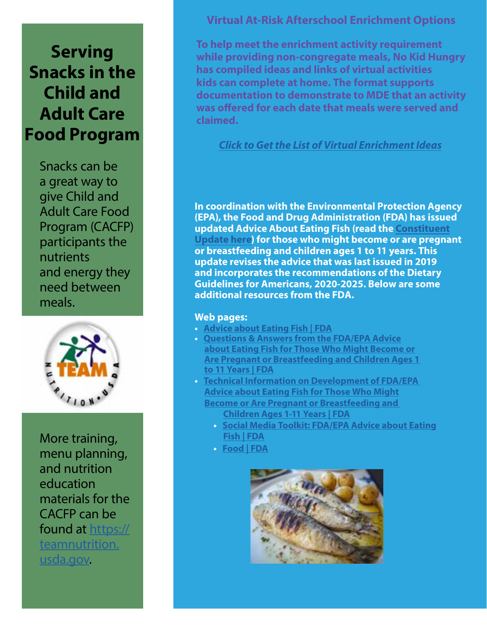# **Serving Snacks in the Child and Adult Care Food Program**

Snacks can be a great way to give Child and Adult Care Food Program (CACFP) participants the nutrients and energy they need between meals.



More training, menu planning, and nutrition education materials for the CACFP can be found at [https://](https://www.fns.usda.gov/tn) [teamnutrition.](https://www.fns.usda.gov/tn) [usda.gov.](https://www.fns.usda.gov/tn)

#### **Virtual At-Risk Afterschool Enrichment Options**

**To help meet the enrichment activity requirement while providing non-congregate meals, No Kid Hungry has compiled ideas and links of virtual activities kids can complete at home. The format supports documentation to demonstrate to MDE that an activity was offered for each date that meals were served and claimed.**

#### *[Click to Get the List of Virtual Enrichment Ideas](https://www.michigan.gov/documents/mde/Virtual_Enrichment_Ideas_717362_7.pdf)*

**In coordination with the Environmental Protection Agency (EPA), the Food and Drug Administration (FDA) has issued updated Advice About Eating Fish (read the [Constituent](https://gcc02.safelinks.protection.outlook.com/?url=https%3A%2F%2Fwww.fda.gov%2Ffood%2Fcfsan-constituent-updates%2Ffda-issues-updated-advice-about-eating-fish&data=04%7C01%7CGalbaviT%40michigan.gov%7C57583e746db24d357c5a08d99acf4c87%7Cd5fb7087377742ad966a892ef47225d1%7C0%7C0%7C637711037396671402%7CUnknown%7CTWFpbGZsb3d8eyJWIjoiMC4wLjAwMDAiLCJQIjoiV2luMzIiLCJBTiI6Ik1haWwiLCJXVCI6Mn0%3D%7C1000&sdata=O%2FkTI%2F35aK7m1%2Bn3WMzIAe1HGW8T660wmBwkHTPCOKs%3D&reserved=0) [Update here](https://gcc02.safelinks.protection.outlook.com/?url=https%3A%2F%2Fwww.fda.gov%2Ffood%2Fcfsan-constituent-updates%2Ffda-issues-updated-advice-about-eating-fish&data=04%7C01%7CGalbaviT%40michigan.gov%7C57583e746db24d357c5a08d99acf4c87%7Cd5fb7087377742ad966a892ef47225d1%7C0%7C0%7C637711037396671402%7CUnknown%7CTWFpbGZsb3d8eyJWIjoiMC4wLjAwMDAiLCJQIjoiV2luMzIiLCJBTiI6Ik1haWwiLCJXVCI6Mn0%3D%7C1000&sdata=O%2FkTI%2F35aK7m1%2Bn3WMzIAe1HGW8T660wmBwkHTPCOKs%3D&reserved=0)) for those who might become or are pregnant or breastfeeding and children ages 1 to 11 years. This update revises the advice that was last issued in 2019 and incorporates the recommendations of the Dietary Guidelines for Americans, 2020-2025. Below are some additional resources from the FDA.** 

#### **Web pages:**

- **• [Advice about Eating Fish | FDA](https://gcc02.safelinks.protection.outlook.com/?url=https%3A%2F%2Fwww.fda.gov%2Ffood%2Fconsumers%2Fadvice-about-eating-fish&data=04%7C01%7CGalbaviT%40michigan.gov%7C57583e746db24d357c5a08d99acf4c87%7Cd5fb7087377742ad966a892ef47225d1%7C0%7C0%7C637711037396681360%7CUnknown%7CTWFpbGZsb3d8eyJWIjoiMC4wLjAwMDAiLCJQIjoiV2luMzIiLCJBTiI6Ik1haWwiLCJXVCI6Mn0%3D%7C1000&sdata=ZWczJIq1mhG%2FXRBGKUazGNgrRh5GZgoU91AnUJRB%2FIY%3D&reserved=0)**
- **• [Questions & Answers from the FDA/EPA Advice](https://gcc02.safelinks.protection.outlook.com/?url=https%3A%2F%2Fwww.fda.gov%2Ffood%2Fconsumers%2Fquestions-answers-fdaepa-advice-about-eating-fish-those-who-might-become-or-are-pregnant-or&data=04%7C01%7CGalbaviT%40michigan.gov%7C57583e746db24d357c5a08d99acf4c87%7Cd5fb7087377742ad966a892ef47225d1%7C0%7C0%7C637711037396681360%7CUnknown%7CTWFpbGZsb3d8eyJWIjoiMC4wLjAwMDAiLCJQIjoiV2luMzIiLCJBTiI6Ik1haWwiLCJXVCI6Mn0%3D%7C1000&sdata=VjfGJQwCsECSqJS2DGPsnhpB%2BjAqozChTGUJoMlwLqk%3D&reserved=0) [about Eating Fish for Those Who Might Become or](https://gcc02.safelinks.protection.outlook.com/?url=https%3A%2F%2Fwww.fda.gov%2Ffood%2Fconsumers%2Fquestions-answers-fdaepa-advice-about-eating-fish-those-who-might-become-or-are-pregnant-or&data=04%7C01%7CGalbaviT%40michigan.gov%7C57583e746db24d357c5a08d99acf4c87%7Cd5fb7087377742ad966a892ef47225d1%7C0%7C0%7C637711037396681360%7CUnknown%7CTWFpbGZsb3d8eyJWIjoiMC4wLjAwMDAiLCJQIjoiV2luMzIiLCJBTiI6Ik1haWwiLCJXVCI6Mn0%3D%7C1000&sdata=VjfGJQwCsECSqJS2DGPsnhpB%2BjAqozChTGUJoMlwLqk%3D&reserved=0) [Are Pregnant or Breastfeeding and Children Ages 1](https://gcc02.safelinks.protection.outlook.com/?url=https%3A%2F%2Fwww.fda.gov%2Ffood%2Fconsumers%2Fquestions-answers-fdaepa-advice-about-eating-fish-those-who-might-become-or-are-pregnant-or&data=04%7C01%7CGalbaviT%40michigan.gov%7C57583e746db24d357c5a08d99acf4c87%7Cd5fb7087377742ad966a892ef47225d1%7C0%7C0%7C637711037396681360%7CUnknown%7CTWFpbGZsb3d8eyJWIjoiMC4wLjAwMDAiLCJQIjoiV2luMzIiLCJBTiI6Ik1haWwiLCJXVCI6Mn0%3D%7C1000&sdata=VjfGJQwCsECSqJS2DGPsnhpB%2BjAqozChTGUJoMlwLqk%3D&reserved=0) [to 11 Years | FDA](https://gcc02.safelinks.protection.outlook.com/?url=https%3A%2F%2Fwww.fda.gov%2Ffood%2Fconsumers%2Fquestions-answers-fdaepa-advice-about-eating-fish-those-who-might-become-or-are-pregnant-or&data=04%7C01%7CGalbaviT%40michigan.gov%7C57583e746db24d357c5a08d99acf4c87%7Cd5fb7087377742ad966a892ef47225d1%7C0%7C0%7C637711037396681360%7CUnknown%7CTWFpbGZsb3d8eyJWIjoiMC4wLjAwMDAiLCJQIjoiV2luMzIiLCJBTiI6Ik1haWwiLCJXVCI6Mn0%3D%7C1000&sdata=VjfGJQwCsECSqJS2DGPsnhpB%2BjAqozChTGUJoMlwLqk%3D&reserved=0)**
- **• [Technical Information on Development of FDA/EPA](https://gcc02.safelinks.protection.outlook.com/?url=https%3A%2F%2Fwww.fda.gov%2Ffood%2Fmetals-and-your-food%2Ftechnical-information-development-fdaepa-advice-about-eating-fish-those-who-might-become-or-are&data=04%7C01%7CGalbaviT%40michigan.gov%7C57583e746db24d357c5a08d99acf4c87%7Cd5fb7087377742ad966a892ef47225d1%7C0%7C0%7C637711037396691314%7CUnknown%7CTWFpbGZsb3d8eyJWIjoiMC4wLjAwMDAiLCJQIjoiV2luMzIiLCJBTiI6Ik1haWwiLCJXVCI6Mn0%3D%7C1000&sdata=Q7lGCji3xMTKmG6mzUny1692QWVELdY6ZJu4oQfGqGk%3D&reserved=0) [Advice about Eating Fish for Those Who Might](https://gcc02.safelinks.protection.outlook.com/?url=https%3A%2F%2Fwww.fda.gov%2Ffood%2Fmetals-and-your-food%2Ftechnical-information-development-fdaepa-advice-about-eating-fish-those-who-might-become-or-are&data=04%7C01%7CGalbaviT%40michigan.gov%7C57583e746db24d357c5a08d99acf4c87%7Cd5fb7087377742ad966a892ef47225d1%7C0%7C0%7C637711037396691314%7CUnknown%7CTWFpbGZsb3d8eyJWIjoiMC4wLjAwMDAiLCJQIjoiV2luMzIiLCJBTiI6Ik1haWwiLCJXVCI6Mn0%3D%7C1000&sdata=Q7lGCji3xMTKmG6mzUny1692QWVELdY6ZJu4oQfGqGk%3D&reserved=0) [Become or Are Pregnant or Breastfeeding and](https://gcc02.safelinks.protection.outlook.com/?url=https%3A%2F%2Fwww.fda.gov%2Ffood%2Fmetals-and-your-food%2Ftechnical-information-development-fdaepa-advice-about-eating-fish-those-who-might-become-or-are&data=04%7C01%7CGalbaviT%40michigan.gov%7C57583e746db24d357c5a08d99acf4c87%7Cd5fb7087377742ad966a892ef47225d1%7C0%7C0%7C637711037396691314%7CUnknown%7CTWFpbGZsb3d8eyJWIjoiMC4wLjAwMDAiLCJQIjoiV2luMzIiLCJBTiI6Ik1haWwiLCJXVCI6Mn0%3D%7C1000&sdata=Q7lGCji3xMTKmG6mzUny1692QWVELdY6ZJu4oQfGqGk%3D&reserved=0)  [Children Ages 1-11 Years | FDA](https://gcc02.safelinks.protection.outlook.com/?url=https%3A%2F%2Fwww.fda.gov%2Ffood%2Fmetals-and-your-food%2Ftechnical-information-development-fdaepa-advice-about-eating-fish-those-who-might-become-or-are&data=04%7C01%7CGalbaviT%40michigan.gov%7C57583e746db24d357c5a08d99acf4c87%7Cd5fb7087377742ad966a892ef47225d1%7C0%7C0%7C637711037396691314%7CUnknown%7CTWFpbGZsb3d8eyJWIjoiMC4wLjAwMDAiLCJQIjoiV2luMzIiLCJBTiI6Ik1haWwiLCJXVCI6Mn0%3D%7C1000&sdata=Q7lGCji3xMTKmG6mzUny1692QWVELdY6ZJu4oQfGqGk%3D&reserved=0)**
	- **• [Social Media Toolkit: FDA/EPA Advice about Eating](https://gcc02.safelinks.protection.outlook.com/?url=https%3A%2F%2Fwww.fda.gov%2Ffood%2Fconsumers%2Fsocial-media-toolkit-fdaepa-advice-about-eating-fish&data=04%7C01%7CGalbaviT%40michigan.gov%7C57583e746db24d357c5a08d99acf4c87%7Cd5fb7087377742ad966a892ef47225d1%7C0%7C0%7C637711037396691314%7CUnknown%7CTWFpbGZsb3d8eyJWIjoiMC4wLjAwMDAiLCJQIjoiV2luMzIiLCJBTiI6Ik1haWwiLCJXVCI6Mn0%3D%7C1000&sdata=nIjZqJdTn0Ny8UfOH%2B3NM2q68IRjyi1rL3d5RcN0cno%3D&reserved=0) [Fish | FDA](https://gcc02.safelinks.protection.outlook.com/?url=https%3A%2F%2Fwww.fda.gov%2Ffood%2Fconsumers%2Fsocial-media-toolkit-fdaepa-advice-about-eating-fish&data=04%7C01%7CGalbaviT%40michigan.gov%7C57583e746db24d357c5a08d99acf4c87%7Cd5fb7087377742ad966a892ef47225d1%7C0%7C0%7C637711037396691314%7CUnknown%7CTWFpbGZsb3d8eyJWIjoiMC4wLjAwMDAiLCJQIjoiV2luMzIiLCJBTiI6Ik1haWwiLCJXVCI6Mn0%3D%7C1000&sdata=nIjZqJdTn0Ny8UfOH%2B3NM2q68IRjyi1rL3d5RcN0cno%3D&reserved=0)**
	- **• [Food | FDA](https://gcc02.safelinks.protection.outlook.com/?url=https%3A%2F%2Fwww.fda.gov%2Ffood&data=04%7C01%7CGalbaviT%40michigan.gov%7C57583e746db24d357c5a08d99acf4c87%7Cd5fb7087377742ad966a892ef47225d1%7C0%7C0%7C637711037396691314%7CUnknown%7CTWFpbGZsb3d8eyJWIjoiMC4wLjAwMDAiLCJQIjoiV2luMzIiLCJBTiI6Ik1haWwiLCJXVCI6Mn0%3D%7C1000&sdata=aPfXCqphWQ34sV%2F41nhyDh5gEFQ%2BjtdTUcE1YU%2B0ORM%3D&reserved=0)**